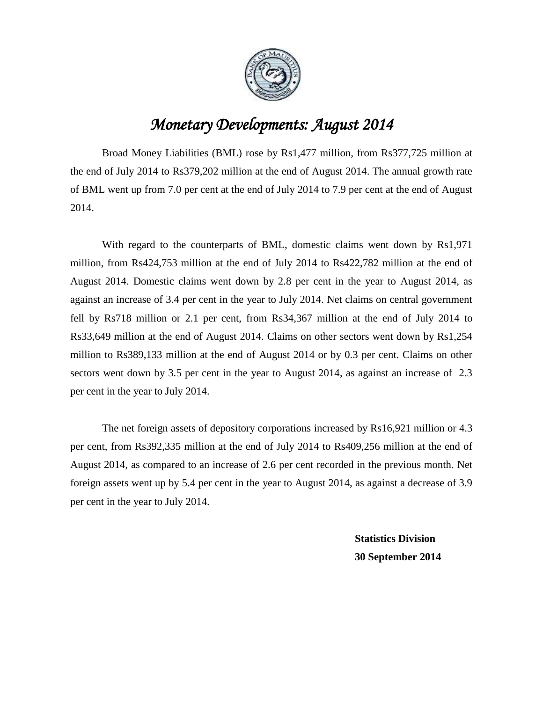

## *Monetary Developments: August 2014*

Broad Money Liabilities (BML) rose by Rs1,477 million, from Rs377,725 million at the end of July 2014 to Rs379,202 million at the end of August 2014. The annual growth rate of BML went up from 7.0 per cent at the end of July 2014 to 7.9 per cent at the end of August 2014.

With regard to the counterparts of BML, domestic claims went down by Rs1,971 million, from Rs424,753 million at the end of July 2014 to Rs422,782 million at the end of August 2014. Domestic claims went down by 2.8 per cent in the year to August 2014, as against an increase of 3.4 per cent in the year to July 2014. Net claims on central government fell by Rs718 million or 2.1 per cent, from Rs34,367 million at the end of July 2014 to Rs33,649 million at the end of August 2014. Claims on other sectors went down by Rs1,254 million to Rs389,133 million at the end of August 2014 or by 0.3 per cent. Claims on other sectors went down by 3.5 per cent in the year to August 2014, as against an increase of 2.3 per cent in the year to July 2014.

The net foreign assets of depository corporations increased by Rs16,921 million or 4.3 per cent, from Rs392,335 million at the end of July 2014 to Rs409,256 million at the end of August 2014, as compared to an increase of 2.6 per cent recorded in the previous month. Net foreign assets went up by 5.4 per cent in the year to August 2014, as against a decrease of 3.9 per cent in the year to July 2014.

> **Statistics Division 30 September 2014**